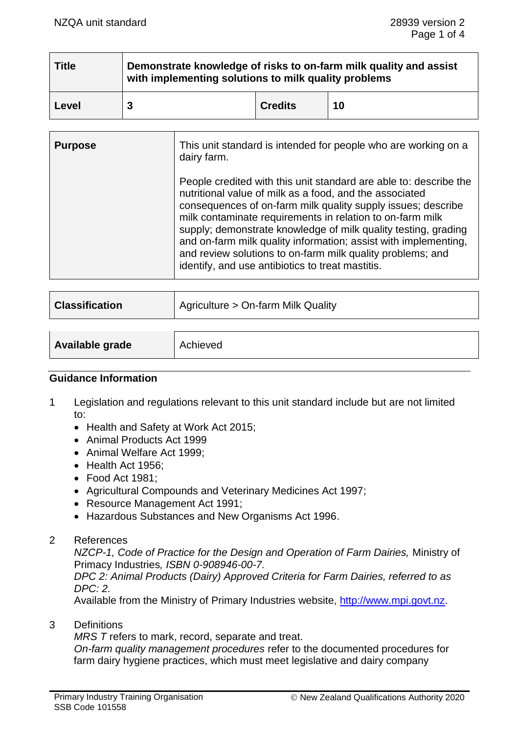| <b>Title</b> | Demonstrate knowledge of risks to on-farm milk quality and assist<br>with implementing solutions to milk quality problems |                |    |
|--------------|---------------------------------------------------------------------------------------------------------------------------|----------------|----|
| Level        |                                                                                                                           | <b>Credits</b> | 10 |

| <b>Purpose</b> | This unit standard is intended for people who are working on a<br>dairy farm.                                                                                                                                                                                                                                                                                                                                                                                                                                    |
|----------------|------------------------------------------------------------------------------------------------------------------------------------------------------------------------------------------------------------------------------------------------------------------------------------------------------------------------------------------------------------------------------------------------------------------------------------------------------------------------------------------------------------------|
|                | People credited with this unit standard are able to: describe the<br>nutritional value of milk as a food, and the associated<br>consequences of on-farm milk quality supply issues; describe<br>milk contaminate requirements in relation to on-farm milk<br>supply; demonstrate knowledge of milk quality testing, grading<br>and on-farm milk quality information; assist with implementing,<br>and review solutions to on-farm milk quality problems; and<br>identify, and use antibiotics to treat mastitis. |

| <b>Classification</b> | Agriculture > On-farm Milk Quality |
|-----------------------|------------------------------------|
|                       |                                    |

| <b>Available grade</b><br>Achieved |  |
|------------------------------------|--|
|------------------------------------|--|

### **Guidance Information**

- 1 Legislation and regulations relevant to this unit standard include but are not limited to:
	- Health and Safety at Work Act 2015;
	- Animal Products Act 1999
	- Animal Welfare Act 1999;
	- Health Act 1956;
	- Food Act 1981;
	- Agricultural Compounds and Veterinary Medicines Act 1997;
	- Resource Management Act 1991;
	- Hazardous Substances and New Organisms Act 1996.
- 2 References

*NZCP-1, Code of Practice for the Design and Operation of Farm Dairies,* Ministry of Primacy Industries*, ISBN 0-908946-00-7.*

*DPC 2: Animal Products (Dairy) Approved Criteria for Farm Dairies, referred to as DPC: 2.*

Available from the Ministry of Primary Industries website, [http://www.mpi.govt.nz.](http://www.mpi.govt.nz/)

3 Definitions

*MRS T* refers to mark, record, separate and treat.

*On-farm quality management procedures* refer to the documented procedures for farm dairy hygiene practices, which must meet legislative and dairy company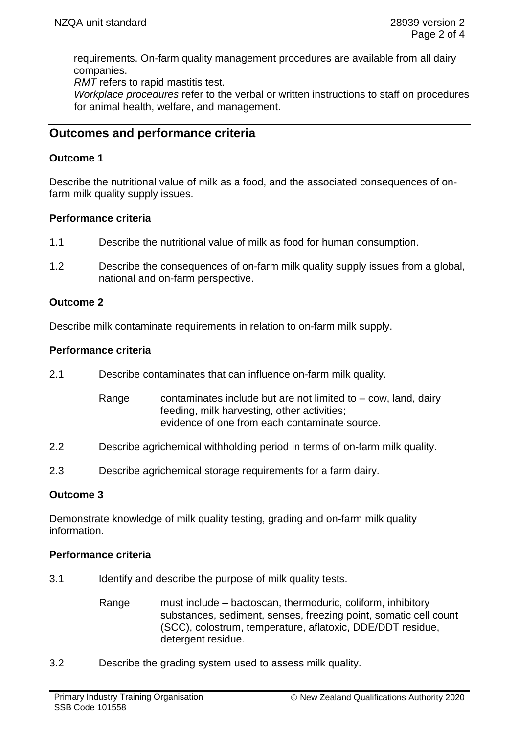requirements. On-farm quality management procedures are available from all dairy companies.

*RMT* refers to rapid mastitis test.

*Workplace procedures* refer to the verbal or written instructions to staff on procedures for animal health, welfare, and management.

# **Outcomes and performance criteria**

## **Outcome 1**

Describe the nutritional value of milk as a food, and the associated consequences of onfarm milk quality supply issues.

## **Performance criteria**

- 1.1 Describe the nutritional value of milk as food for human consumption.
- 1.2 Describe the consequences of on-farm milk quality supply issues from a global, national and on-farm perspective.

## **Outcome 2**

Describe milk contaminate requirements in relation to on-farm milk supply.

## **Performance criteria**

- 2.1 Describe contaminates that can influence on-farm milk quality.
	- Range contaminates include but are not limited to  $-$  cow, land, dairy feeding, milk harvesting, other activities; evidence of one from each contaminate source.
- 2.2 Describe agrichemical withholding period in terms of on-farm milk quality.
- 2.3 Describe agrichemical storage requirements for a farm dairy.

## **Outcome 3**

Demonstrate knowledge of milk quality testing, grading and on-farm milk quality information.

### **Performance criteria**

- 3.1 Identify and describe the purpose of milk quality tests.
	- Range must include bactoscan, thermoduric, coliform, inhibitory substances, sediment, senses, freezing point, somatic cell count (SCC), colostrum, temperature, aflatoxic, DDE/DDT residue, detergent residue.
- 3.2 Describe the grading system used to assess milk quality.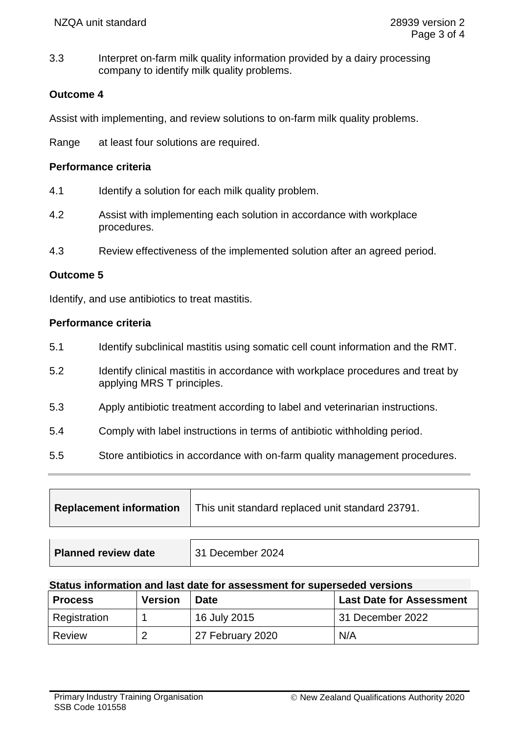3.3 Interpret on-farm milk quality information provided by a dairy processing company to identify milk quality problems.

### **Outcome 4**

Assist with implementing, and review solutions to on-farm milk quality problems.

Range at least four solutions are required.

#### **Performance criteria**

- 4.1 Identify a solution for each milk quality problem.
- 4.2 Assist with implementing each solution in accordance with workplace procedures.
- 4.3 Review effectiveness of the implemented solution after an agreed period.

### **Outcome 5**

Identify, and use antibiotics to treat mastitis.

#### **Performance criteria**

- 5.1 Identify subclinical mastitis using somatic cell count information and the RMT.
- 5.2 Identify clinical mastitis in accordance with workplace procedures and treat by applying MRS T principles.
- 5.3 Apply antibiotic treatment according to label and veterinarian instructions.
- 5.4 Comply with label instructions in terms of antibiotic withholding period.
- 5.5 Store antibiotics in accordance with on-farm quality management procedures.

| <b>Replacement information</b> | This unit standard replaced unit standard 23791. |  |
|--------------------------------|--------------------------------------------------|--|
|                                |                                                  |  |
| <b>Planned review date</b>     | 31 December 2024                                 |  |

#### **Status information and last date for assessment for superseded versions**

| <b>Process</b> | <b>Version</b> | <b>Date</b>      | <b>Last Date for Assessment</b> |
|----------------|----------------|------------------|---------------------------------|
| Registration   |                | 16 July 2015     | 31 December 2022                |
| Review         | 2              | 27 February 2020 | N/A                             |